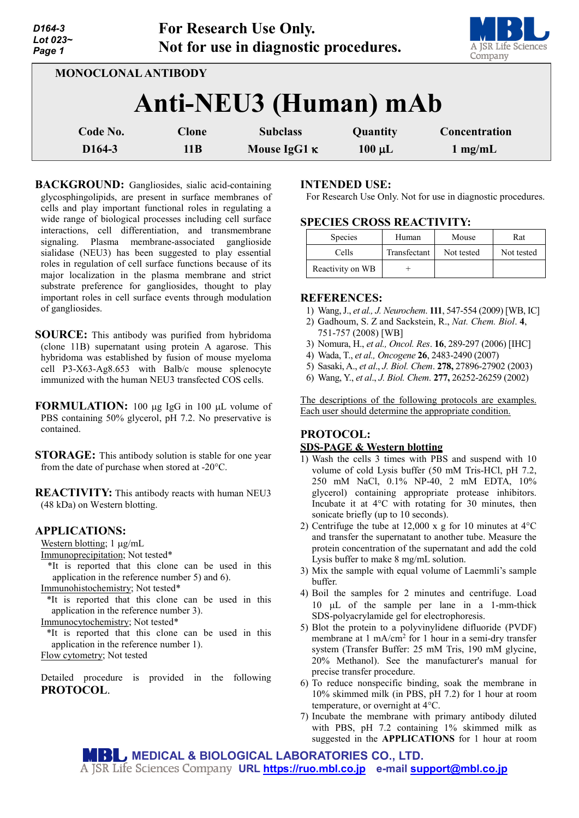| D <sub>164-3</sub><br>Lot 023~<br>Page 1 |                     | <b>For Research Use Only.</b><br>Not for use in diagnostic procedures. |                         | A JSR Life Sciences<br>Company     |
|------------------------------------------|---------------------|------------------------------------------------------------------------|-------------------------|------------------------------------|
| <b>MONOCLONAL ANTIBODY</b>               |                     | Anti-NEU3 (Human) mAb                                                  |                         |                                    |
| Code No.<br>D <sub>164</sub> -3          | <b>Clone</b><br>11B | <b>Subclass</b><br>Mouse IgG1 $\kappa$                                 | Quantity<br>$100 \mu L$ | Concentration<br>$1 \text{ mg/mL}$ |

**BACKGROUND:** Gangliosides, sialic acid-containing glycosphingolipids, are present in surface membranes of cells and play important functional roles in regulating a wide range of biological processes including cell surface interactions, cell differentiation, and transmembrane signaling. Plasma membrane-associated ganglioside sialidase (NEU3) has been suggested to play essential roles in regulation of cell surface functions because of its major localization in the plasma membrane and strict substrate preference for gangliosides, thought to play important roles in cell surface events through modulation of gangliosides.

- **SOURCE:** This antibody was purified from hybridoma (clone 11B) supernatant using protein A agarose. This hybridoma was established by fusion of mouse myeloma cell P3-X63-Ag8.653 with Balb/c mouse splenocyte immunized with the human NEU3 transfected COS cells.
- **FORMULATION:** 100 µg IgG in 100 µL volume of PBS containing 50% glycerol, pH 7.2. No preservative is contained.
- **STORAGE:** This antibody solution is stable for one year from the date of purchase when stored at -20°C.

**REACTIVITY:** This antibody reacts with human NEU3 (48 kDa) on Western blotting.

#### **APPLICATIONS:**

Western blotting; 1  $\mu$ g/mL

Immunoprecipitation; Not tested\*

\*It is reported that this clone can be used in this application in the reference number 5) and 6).

Immunohistochemistry; Not tested\*

\*It is reported that this clone can be used in this application in the reference number 3).

Immunocytochemistry; Not tested\*

\*It is reported that this clone can be used in this application in the reference number 1).

Flow cytometry; Not tested

Detailed procedure is provided in the following **PROTOCOL**.

### **INTENDED USE:**

For Research Use Only. Not for use in diagnostic procedures.

## **SPECIES CROSS REACTIVITY:**

| <b>Species</b>   | Human        | Mouse      | Rat        |
|------------------|--------------|------------|------------|
| Cells            | Transfectant | Not tested | Not tested |
| Reactivity on WB |              |            |            |

#### **REFERENCES:**

- 1) Wang, J., *et al., J. Neurochem*. **111**, 547-554 (2009) [WB, IC]
- 2) Gadhoum, S. Z and Sackstein, R., *Nat. Chem. Biol*. **4**, 751-757 (2008) [WB]
- 3) Nomura, H., *et al., Oncol. Res*. **16**, 289-297 (2006) [IHC]
- 4) Wada, T., *et al., Oncogene* **26**, 2483-2490 (2007)
- 5) Sasaki, A., *et al*., *J. Biol. Chem*. **278,** 27896-27902 (2003)
- 6) Wang, Y., *et al*., *J. Biol. Chem*. **277,** 26252-26259 (2002)

The descriptions of the following protocols are examples. Each user should determine the appropriate condition.

# **PROTOCOL:**

## **SDS-PAGE & Western blotting**

- 1) Wash the cells 3 times with PBS and suspend with 10 volume of cold Lysis buffer (50 mM Tris-HCl, pH 7.2, 250 mM NaCl, 0.1% NP-40, 2 mM EDTA, 10% glycerol) containing appropriate protease inhibitors. Incubate it at 4°C with rotating for 30 minutes, then sonicate briefly (up to 10 seconds).
- 2) Centrifuge the tube at 12,000 x g for 10 minutes at 4°C and transfer the supernatant to another tube. Measure the protein concentration of the supernatant and add the cold Lysis buffer to make 8 mg/mL solution.
- 3) Mix the sample with equal volume of Laemmli's sample buffer.
- 4) Boil the samples for 2 minutes and centrifuge. Load 10 µL of the sample per lane in a 1-mm-thick SDS-polyacrylamide gel for electrophoresis.
- 5) Blot the protein to a polyvinylidene difluoride (PVDF) membrane at  $1 \text{ mA/cm}^2$  for  $1 \text{ hour}$  in a semi-dry transfer system (Transfer Buffer: 25 mM Tris, 190 mM glycine, 20% Methanol). See the manufacturer's manual for precise transfer procedure.
- 6) To reduce nonspecific binding, soak the membrane in 10% skimmed milk (in PBS, pH 7.2) for 1 hour at room temperature, or overnight at 4°C.
- 7) Incubate the membrane with primary antibody diluted with PBS, pH 7.2 containing 1% skimmed milk as suggested in the **APPLICATIONS** for 1 hour at room

**MEDICAL & BIOLOGICAL LABORATORIES CO., LTD. URL [https://ruo.mbl.co.jp](https://ruo.mbl.co.jp/) e-mail [support@mbl.co.jp](mailto:support@mbl.co.jp)**